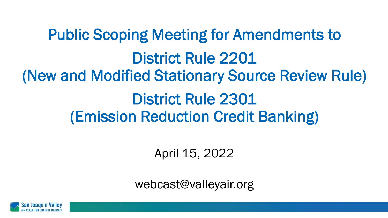Public Scoping Meeting for Amendments to District Rule 2201 (New and Modified Stationary Source Review Rule) District Rule 2301 (Emission Reduction Credit Banking)

April 15, 2022

webcast@valleyair.org

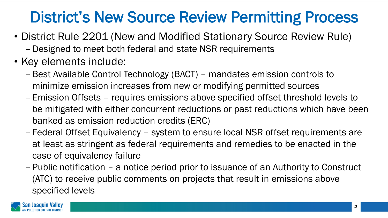## District's New Source Review Permitting Process

- District Rule 2201 (New and Modified Stationary Source Review Rule)
	- Designed to meet both federal and state NSR requirements
- Key elements include:
	- Best Available Control Technology (BACT) mandates emission controls to minimize emission increases from new or modifying permitted sources
	- Emission Offsets requires emissions above specified offset threshold levels to be mitigated with either concurrent reductions or past reductions which have been banked as emission reduction credits (ERC)
	- Federal Offset Equivalency system to ensure local NSR offset requirements are at least as stringent as federal requirements and remedies to be enacted in the case of equivalency failure
	- Public notification a notice period prior to issuance of an Authority to Construct (ATC) to receive public comments on projects that result in emissions above specified levels

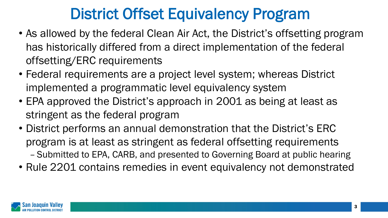### District Offset Equivalency Program

- As allowed by the federal Clean Air Act, the District's offsetting program has historically differed from a direct implementation of the federal offsetting/ERC requirements
- Federal requirements are a project level system; whereas District implemented a programmatic level equivalency system
- EPA approved the District's approach in 2001 as being at least as stringent as the federal program
- District performs an annual demonstration that the District's ERC program is at least as stringent as federal offsetting requirements – Submitted to EPA, CARB, and presented to Governing Board at public hearing
- Rule 2201 contains remedies in event equivalency not demonstrated

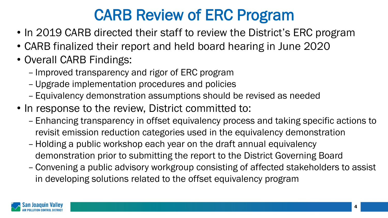## CARB Review of ERC Program

- In 2019 CARB directed their staff to review the District's ERC program
- CARB finalized their report and held board hearing in June 2020
- Overall CARB Findings:
	- Improved transparency and rigor of ERC program
	- Upgrade implementation procedures and policies
	- Equivalency demonstration assumptions should be revised as needed
- In response to the review, District committed to:
	- Enhancing transparency in offset equivalency process and taking specific actions to revisit emission reduction categories used in the equivalency demonstration
	- Holding a public workshop each year on the draft annual equivalency demonstration prior to submitting the report to the District Governing Board
	- Convening a public advisory workgroup consisting of affected stakeholders to assist in developing solutions related to the offset equivalency program

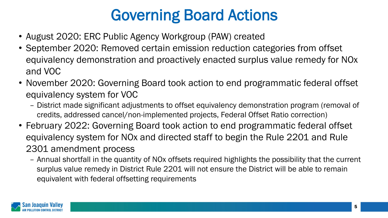## Governing Board Actions

- August 2020: ERC Public Agency Workgroup (PAW) created
- September 2020: Removed certain emission reduction categories from offset equivalency demonstration and proactively enacted surplus value remedy for NOx and VOC
- November 2020: Governing Board took action to end programmatic federal offset equivalency system for VOC
	- District made significant adjustments to offset equivalency demonstration program (removal of credits, addressed cancel/non-implemented projects, Federal Offset Ratio correction)
- February 2022: Governing Board took action to end programmatic federal offset equivalency system for NOx and directed staff to begin the Rule 2201 and Rule 2301 amendment process
	- Annual shortfall in the quantity of NOx offsets required highlights the possibility that the current surplus value remedy in District Rule 2201 will not ensure the District will be able to remain equivalent with federal offsetting requirements

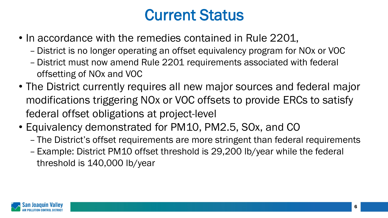#### Current Status

- In accordance with the remedies contained in Rule 2201,
	- District is no longer operating an offset equivalency program for NOx or VOC
	- District must now amend Rule 2201 requirements associated with federal offsetting of NOx and VOC
- The District currently requires all new major sources and federal major modifications triggering NOx or VOC offsets to provide ERCs to satisfy federal offset obligations at project-level
- Equivalency demonstrated for PM10, PM2.5, SOx, and CO
	- The District's offset requirements are more stringent than federal requirements
	- Example: District PM10 offset threshold is 29,200 lb/year while the federal threshold is 140,000 lb/year

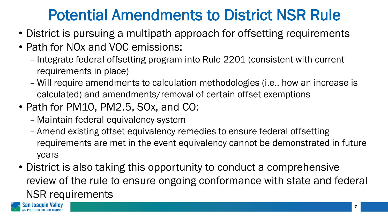#### Potential Amendments to District NSR Rule

- District is pursuing a multipath approach for offsetting requirements
- Path for NOx and VOC emissions:
	- Integrate federal offsetting program into Rule 2201 (consistent with current requirements in place)
	- Will require amendments to calculation methodologies (i.e., how an increase is calculated) and amendments/removal of certain offset exemptions
- Path for PM10, PM2.5, SOx, and CO:
	- Maintain federal equivalency system
	- Amend existing offset equivalency remedies to ensure federal offsetting requirements are met in the event equivalency cannot be demonstrated in future years
- District is also taking this opportunity to conduct a comprehensive review of the rule to ensure ongoing conformance with state and federal NSR requirements

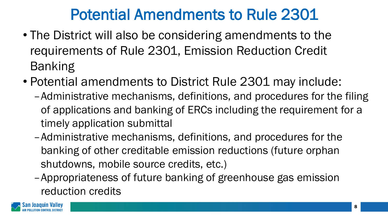#### Potential Amendments to Rule 2301

- The District will also be considering amendments to the requirements of Rule 2301, Emission Reduction Credit Banking
- Potential amendments to District Rule 2301 may include:
	- –Administrative mechanisms, definitions, and procedures for the filing of applications and banking of ERCs including the requirement for a timely application submittal
	- –Administrative mechanisms, definitions, and procedures for the banking of other creditable emission reductions (future orphan shutdowns, mobile source credits, etc.)
	- –Appropriateness of future banking of greenhouse gas emission reduction credits

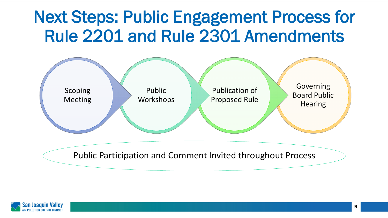# Next Steps: Public Engagement Process for Rule 2201 and Rule 2301 Amendments



Public Participation and Comment Invited throughout Process

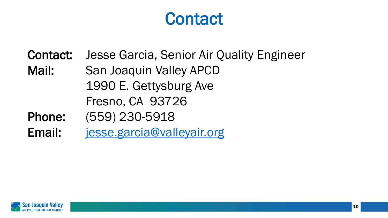## **Contact**

Contact: Jesse Garcia, Senior Air Quality Engineer Mail: San Joaquin Valley APCD 1990 E. Gettysburg Ave Fresno, CA 93726 Phone: (559) 230-5918

Email: [jesse.garcia@valleyair.org](mailto:jesse.garcia@valleyair.org)